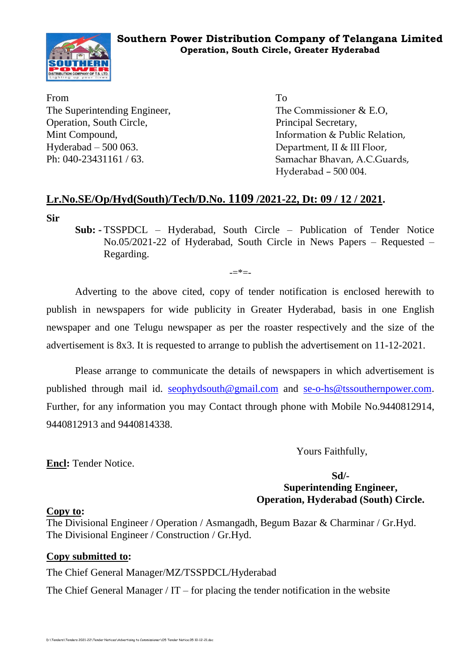

From To The Superintending Engineer, The Commissioner & E.O. Operation, South Circle, Principal Secretary, Hyderabad – 500 063. Department, II & III Floor,

Mint Compound, The Compound, Executive Section 2 and 2 and 2 and 2 and 2 and 2 and 2 and 2 and 2 and 2 and 2 and 2 and 2 and 2 and 2 and 2 and 2 and 2 and 2 and 2 and 2 and 2 and 2 and 2 and 2 and 2 and 2 and 2 and 2 and 2 Ph: 040-23431161 / 63. Samachar Bhavan, A.C.Guards, Hyderabad – 500 004.

### **Lr.No.SE/Op/Hyd(South)/Tech/D.No. 1109 /2021-22, Dt: 09 / 12 / 2021.**

**Sir**

**Sub: -** TSSPDCL – Hyderabad, South Circle – Publication of Tender Notice No.05/2021-22 of Hyderabad, South Circle in News Papers – Requested – Regarding.

 $=$ \* $=$ 

Adverting to the above cited, copy of tender notification is enclosed herewith to publish in newspapers for wide publicity in Greater Hyderabad, basis in one English newspaper and one Telugu newspaper as per the roaster respectively and the size of the advertisement is 8x3. It is requested to arrange to publish the advertisement on 11-12-2021.

Please arrange to communicate the details of newspapers in which advertisement is published through mail id. [seophydsouth@gmail.com](mailto:seophydsouth@gmail.com) and [se-o-hs@tssouthernpower.com.](mailto:se-o-hs@tssouthernpower.com) Further, for any information you may Contact through phone with Mobile No.9440812914, 9440812913 and 9440814338.

Yours Faithfully,

**Encl:** Tender Notice.

**Sd/- Superintending Engineer, Operation, Hyderabad (South) Circle.**

#### **Copy to:**

The Divisional Engineer / Operation / Asmangadh, Begum Bazar & Charminar / Gr.Hyd. The Divisional Engineer / Construction / Gr.Hyd.

### **Copy submitted to:**

The Chief General Manager/MZ/TSSPDCL/Hyderabad

The Chief General Manager /  $IT$  – for placing the tender notification in the website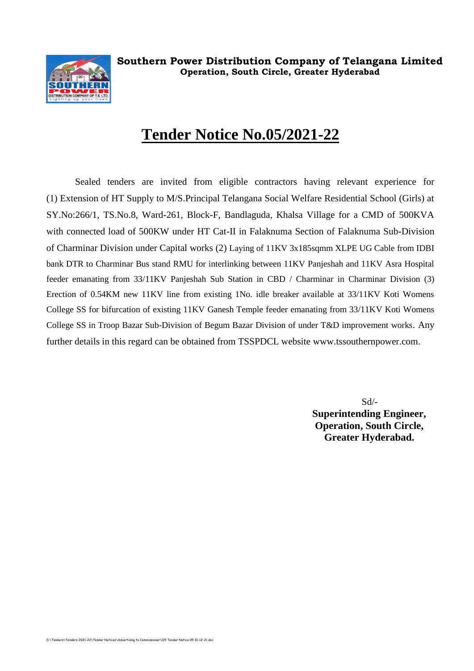

# **Tender Notice No.05/2021-22**

Sealed tenders are invited from eligible contractors having relevant experience for (1) Extension of HT Supply to M/S.Principal Telangana Social Welfare Residential School (Girls) at SY.No:266/1, TS.No.8, Ward-261, Block-F, Bandlaguda, Khalsa Village for a CMD of 500KVA with connected load of 500KW under HT Cat-II in Falaknuma Section of Falaknuma Sub-Division of Charminar Division under Capital works (2) Laying of 11KV 3x185sqmm XLPE UG Cable from IDBI bank DTR to Charminar Bus stand RMU for interlinking between 11KV Panjeshah and 11KV Asra Hospital feeder emanating from 33/11KV Panjeshah Sub Station in CBD / Charminar in Charminar Division (3) Erection of 0.54KM new 11KV line from existing 1No. idle breaker available at 33/11KV Koti Womens College SS for bifurcation of existing 11KV Ganesh Temple feeder emanating from 33/11KV Koti Womens College SS in Troop Bazar Sub-Division of Begum Bazar Division of under T&D improvement works. Any further details in this regard can be obtained from TSSPDCL website [www.tssouthernpower.com.](http://www.tssouthernpower.com/)

> Sd/- **Superintending Engineer, Operation, South Circle, Greater Hyderabad.**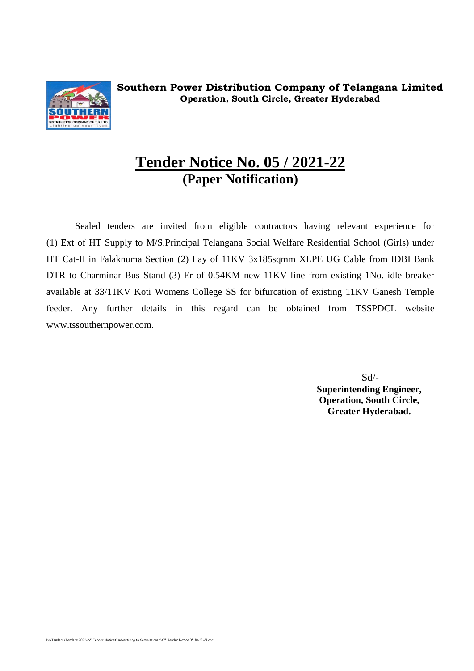

## **Tender Notice No. 05 / 2021-22 (Paper Notification)**

Sealed tenders are invited from eligible contractors having relevant experience for (1) Ext of HT Supply to M/S.Principal Telangana Social Welfare Residential School (Girls) under HT Cat-II in Falaknuma Section (2) Lay of 11KV 3x185sqmm XLPE UG Cable from IDBI Bank DTR to Charminar Bus Stand (3) Er of 0.54KM new 11KV line from existing 1No. idle breaker available at 33/11KV Koti Womens College SS for bifurcation of existing 11KV Ganesh Temple feeder. Any further details in this regard can be obtained from TSSPDCL website [www.tssouthernpower.com.](http://www.tssouthernpower.com/)

> Sd/- **Superintending Engineer, Operation, South Circle, Greater Hyderabad.**